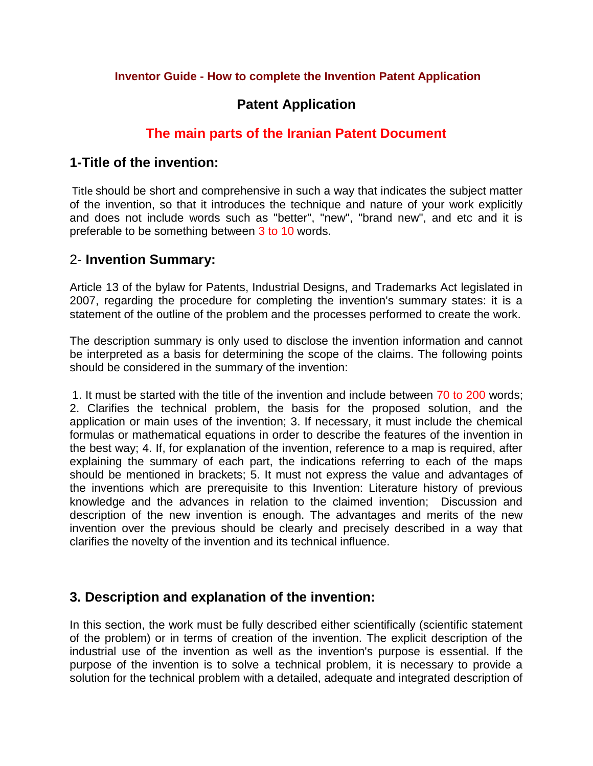#### **Inventor Guide - How to complete the Invention Patent Application**

# **Patent Application**

# **The main parts of the Iranian Patent Document**

### **1-Title of the invention:**

Title should be short and comprehensive in such a way that indicates the subject matter of the invention, so that it introduces the technique and nature of your work explicitly and does not include words such as "better", "new", "brand new", and etc and it is preferable to be something between 3 to 10 words.

## 2- **Invention Summary:**

Article 13 of the bylaw for Patents, Industrial Designs, and Trademarks Act legislated in 2007, regarding the procedure for completing the invention's summary states: it is a statement of the outline of the problem and the processes performed to create the work.

The description summary is only used to disclose the invention information and cannot be interpreted as a basis for determining the scope of the claims. The following points should be considered in the summary of the invention:

1. It must be started with the title of the invention and include between 70 to 200 words; 2. Clarifies the technical problem, the basis for the proposed solution, and the application or main uses of the invention; 3. If necessary, it must include the chemical formulas or mathematical equations in order to describe the features of the invention in the best way; 4. If, for explanation of the invention, reference to a map is required, after explaining the summary of each part, the indications referring to each of the maps should be mentioned in brackets; 5. It must not express the value and advantages of the inventions which are prerequisite to this Invention: Literature history of previous knowledge and the advances in relation to the claimed invention; Discussion and description of the new invention is enough. The advantages and merits of the new invention over the previous should be clearly and precisely described in a way that clarifies the novelty of the invention and its technical influence.

# **3. Description and explanation of the invention:**

In this section, the work must be fully described either scientifically (scientific statement of the problem) or in terms of creation of the invention. The explicit description of the industrial use of the invention as well as the invention's purpose is essential. If the purpose of the invention is to solve a technical problem, it is necessary to provide a solution for the technical problem with a detailed, adequate and integrated description of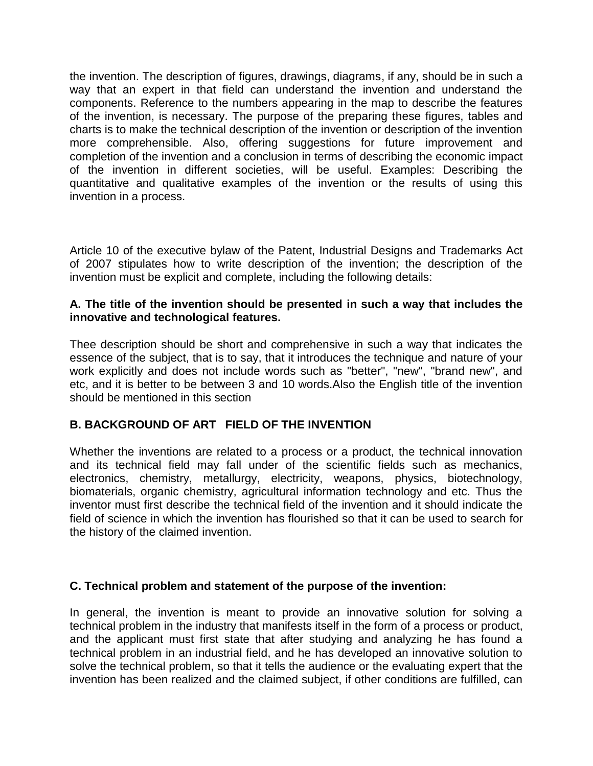the invention. The description of figures, drawings, diagrams, if any, should be in such a way that an expert in that field can understand the invention and understand the components. Reference to the numbers appearing in the map to describe the features of the invention, is necessary. The purpose of the preparing these figures, tables and charts is to make the technical description of the invention or description of the invention more comprehensible. Also, offering suggestions for future improvement and completion of the invention and a conclusion in terms of describing the economic impact of the invention in different societies, will be useful. Examples: Describing the quantitative and qualitative examples of the invention or the results of using this invention in a process.

Article 10 of the executive bylaw of the Patent, Industrial Designs and Trademarks Act of 2007 stipulates how to write description of the invention; the description of the invention must be explicit and complete, including the following details:

#### **A. The title of the invention should be presented in such a way that includes the innovative and technological features.**

Thee description should be short and comprehensive in such a way that indicates the essence of the subject, that is to say, that it introduces the technique and nature of your work explicitly and does not include words such as "better", "new", "brand new", and etc, and it is better to be between 3 and 10 words.Also the English title of the invention should be mentioned in this section

### **B. BACKGROUND OF ART FIELD OF THE INVENTION**

Whether the inventions are related to a process or a product, the technical innovation and its technical field may fall under of the scientific fields such as mechanics, electronics, chemistry, metallurgy, electricity, weapons, physics, biotechnology, biomaterials, organic chemistry, agricultural information technology and etc. Thus the inventor must first describe the technical field of the invention and it should indicate the field of science in which the invention has flourished so that it can be used to search for the history of the claimed invention.

#### **C. Technical problem and statement of the purpose of the invention:**

In general, the invention is meant to provide an innovative solution for solving a technical problem in the industry that manifests itself in the form of a process or product, and the applicant must first state that after studying and analyzing he has found a technical problem in an industrial field, and he has developed an innovative solution to solve the technical problem, so that it tells the audience or the evaluating expert that the invention has been realized and the claimed subject, if other conditions are fulfilled, can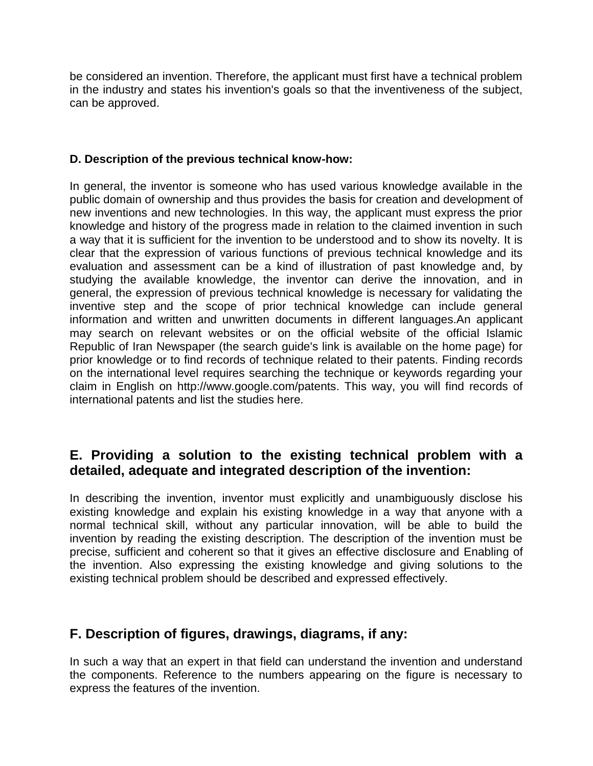be considered an invention. Therefore, the applicant must first have a technical problem in the industry and states his invention's goals so that the inventiveness of the subject, can be approved.

#### **D. Description of the previous technical know-how:**

In general, the inventor is someone who has used various knowledge available in the public domain of ownership and thus provides the basis for creation and development of new inventions and new technologies. In this way, the applicant must express the prior knowledge and history of the progress made in relation to the claimed invention in such a way that it is sufficient for the invention to be understood and to show its novelty. It is clear that the expression of various functions of previous technical knowledge and its evaluation and assessment can be a kind of illustration of past knowledge and, by studying the available knowledge, the inventor can derive the innovation, and in general, the expression of previous technical knowledge is necessary for validating the inventive step and the scope of prior technical knowledge can include general information and written and unwritten documents in different languages.An applicant may search on relevant websites or on the official website of the official Islamic Republic of Iran Newspaper (the search guide's link is available on the home page) for prior knowledge or to find records of technique related to their patents. Finding records on the international level requires searching the technique or keywords regarding your claim in English on http://www.google.com/patents. This way, you will find records of international patents and list the studies here.

# **E. Providing a solution to the existing technical problem with a detailed, adequate and integrated description of the invention:**

In describing the invention, inventor must explicitly and unambiguously disclose his existing knowledge and explain his existing knowledge in a way that anyone with a normal technical skill, without any particular innovation, will be able to build the invention by reading the existing description. The description of the invention must be precise, sufficient and coherent so that it gives an effective disclosure and Enabling of the invention. Also expressing the existing knowledge and giving solutions to the existing technical problem should be described and expressed effectively.

# **F. Description of figures, drawings, diagrams, if any:**

In such a way that an expert in that field can understand the invention and understand the components. Reference to the numbers appearing on the figure is necessary to express the features of the invention.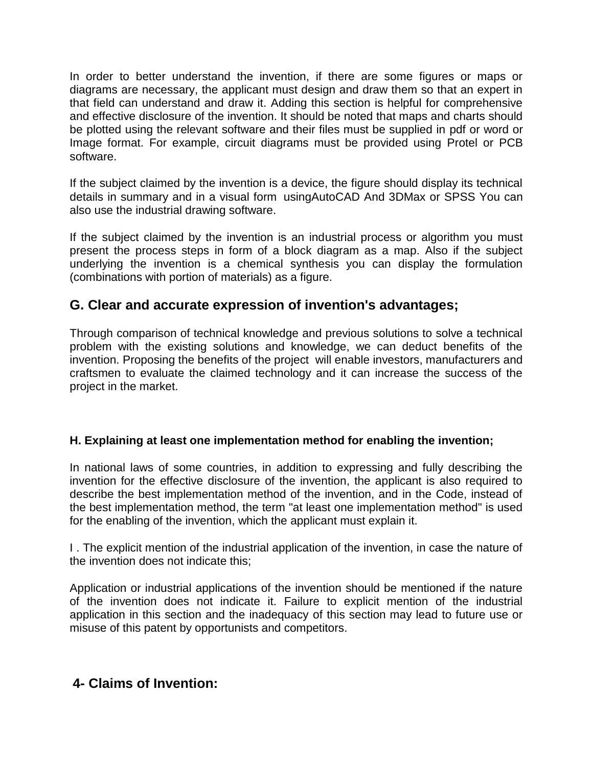In order to better understand the invention, if there are some figures or maps or diagrams are necessary, the applicant must design and draw them so that an expert in that field can understand and draw it. Adding this section is helpful for comprehensive and effective disclosure of the invention. It should be noted that maps and charts should be plotted using the relevant software and their files must be supplied in pdf or word or Image format. For example, circuit diagrams must be provided using Protel or PCB software.

If the subject claimed by the invention is a device, the figure should display its technical details in summary and in a visual form usingAutoCAD And 3DMax or SPSS You can also use the industrial drawing software.

If the subject claimed by the invention is an industrial process or algorithm you must present the process steps in form of a block diagram as a map. Also if the subject underlying the invention is a chemical synthesis you can display the formulation (combinations with portion of materials) as a figure.

## **G. Clear and accurate expression of invention's advantages;**

Through comparison of technical knowledge and previous solutions to solve a technical problem with the existing solutions and knowledge, we can deduct benefits of the invention. Proposing the benefits of the project will enable investors, manufacturers and craftsmen to evaluate the claimed technology and it can increase the success of the project in the market.

### **H. Explaining at least one implementation method for enabling the invention;**

In national laws of some countries, in addition to expressing and fully describing the invention for the effective disclosure of the invention, the applicant is also required to describe the best implementation method of the invention, and in the Code, instead of the best implementation method, the term "at least one implementation method" is used for the enabling of the invention, which the applicant must explain it.

I . The explicit mention of the industrial application of the invention, in case the nature of the invention does not indicate this;

Application or industrial applications of the invention should be mentioned if the nature of the invention does not indicate it. Failure to explicit mention of the industrial application in this section and the inadequacy of this section may lead to future use or misuse of this patent by opportunists and competitors.

### **4- Claims of Invention:**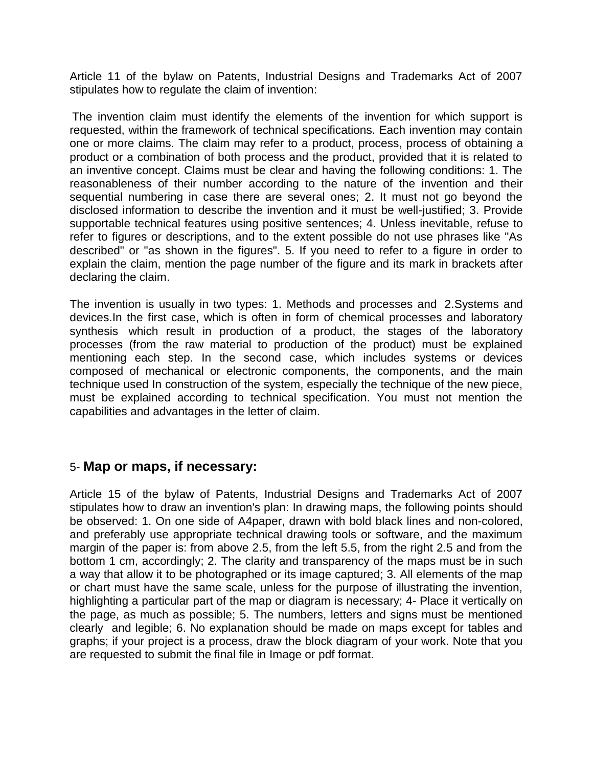Article 11 of the bylaw on Patents, Industrial Designs and Trademarks Act of 2007 stipulates how to regulate the claim of invention:

The invention claim must identify the elements of the invention for which support is requested, within the framework of technical specifications. Each invention may contain one or more claims. The claim may refer to a product, process, process of obtaining a product or a combination of both process and the product, provided that it is related to an inventive concept. Claims must be clear and having the following conditions: 1. The reasonableness of their number according to the nature of the invention and their sequential numbering in case there are several ones; 2. It must not go beyond the disclosed information to describe the invention and it must be well-justified; 3. Provide supportable technical features using positive sentences; 4. Unless inevitable, refuse to refer to figures or descriptions, and to the extent possible do not use phrases like "As described" or "as shown in the figures". 5. If you need to refer to a figure in order to explain the claim, mention the page number of the figure and its mark in brackets after declaring the claim.

The invention is usually in two types: 1. Methods and processes and 2.Systems and devices.In the first case, which is often in form of chemical processes and laboratory synthesis which result in production of a product, the stages of the laboratory processes (from the raw material to production of the product) must be explained mentioning each step. In the second case, which includes systems or devices composed of mechanical or electronic components, the components, and the main technique used In construction of the system, especially the technique of the new piece, must be explained according to technical specification. You must not mention the capabilities and advantages in the letter of claim.

### 5- **Map or maps, if necessary:**

Article 15 of the bylaw of Patents, Industrial Designs and Trademarks Act of 2007 stipulates how to draw an invention's plan: In drawing maps, the following points should be observed: 1. On one side of A4paper, drawn with bold black lines and non-colored, and preferably use appropriate technical drawing tools or software, and the maximum margin of the paper is: from above 2.5, from the left 5.5, from the right 2.5 and from the bottom 1 cm, accordingly; 2. The clarity and transparency of the maps must be in such a way that allow it to be photographed or its image captured; 3. All elements of the map or chart must have the same scale, unless for the purpose of illustrating the invention, highlighting a particular part of the map or diagram is necessary; 4- Place it vertically on the page, as much as possible; 5. The numbers, letters and signs must be mentioned clearly and legible; 6. No explanation should be made on maps except for tables and graphs; if your project is a process, draw the block diagram of your work. Note that you are requested to submit the final file in Image or pdf format.